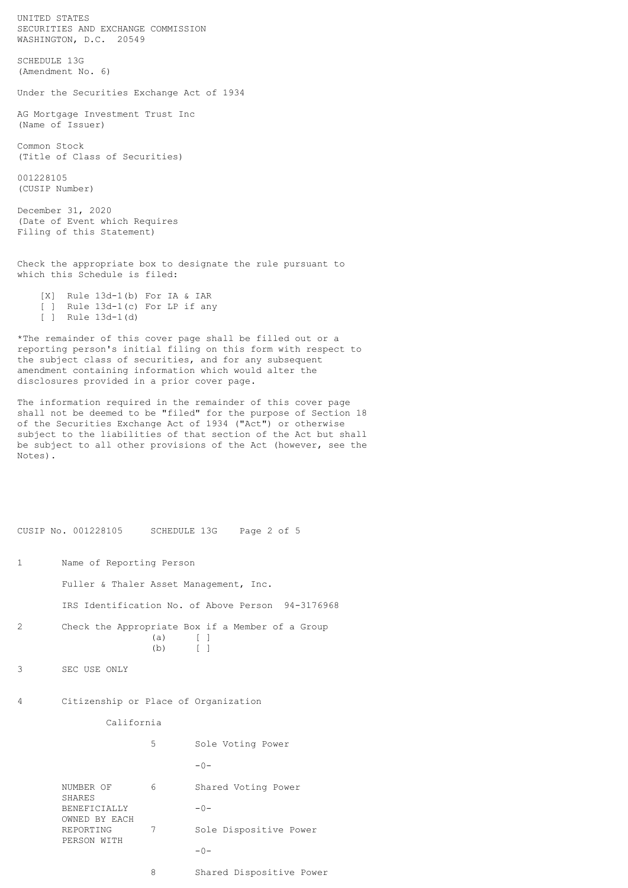UNITED STATES SECURITIES AND EXCHANGE COMMISSION WASHINGTON, D.C. 20549

SCHEDULE 13G (Amendment No. 6)

Under the Securities Exchange Act of 1934

AG Mortgage Investment Trust Inc (Name of Issuer)

Common Stock (Title of Class of Securities)

001228105 (CUSIP Number)

December 31, 2020 (Date of Event which Requires Filing of this Statement)

Check the appropriate box to designate the rule pursuant to which this Schedule is filed:

 [X] Rule 13d-1(b) For IA & IAR [ ] Rule 13d-1(c) For LP if any [ ] Rule 13d-1(d)

\*The remainder of this cover page shall be filled out or a reporting person's initial filing on this form with respect to the subject class of securities, and for any subsequent amendment containing information which would alter the disclosures provided in a prior cover page.

The information required in the remainder of this cover page shall not be deemed to be "filed" for the purpose of Section 18 of the Securities Exchange Act of 1934 ("Act") or otherwise subject to the liabilities of that section of the Act but shall be subject to all other provisions of the Act (however, see the Notes).

CUSIP No. 001228105 SCHEDULE 13G Page 2 of 5

1 Name of Reporting Person

Fuller & Thaler Asset Management, Inc.

IRS Identification No. of Above Person 94-3176968

2 Check the Appropriate Box if a Member of a Group (a) [ ] (b) [ ]

3 SEC USE ONLY

 $\tilde{\mathcal{L}}$ 

4 Citizenship or Place of Organization

California

|                               | 5 | Sole Voting Power        |
|-------------------------------|---|--------------------------|
|                               |   | $-0-$                    |
| NUMBER OF<br>SHARES           | 6 | Shared Voting Power      |
| BENEFICIALLY<br>OWNED BY EACH |   | $-0-$                    |
| REPORTING<br>PERSON WITH      | 7 | Sole Dispositive Power   |
|                               |   | $-0-$                    |
|                               | 8 | Shared Dispositive Power |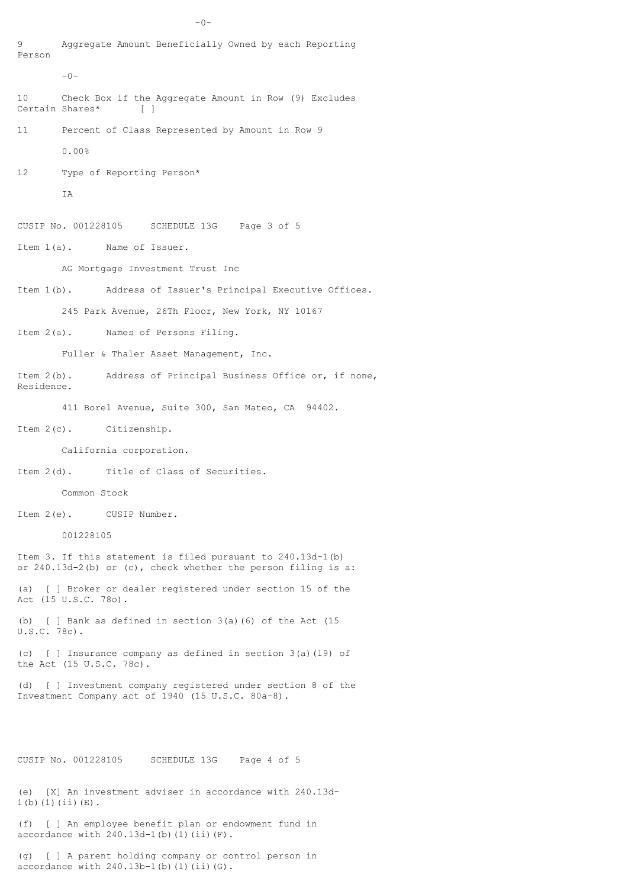Aggregate Amount Beneficially Owned by each Reporting Person  $-0-$ 10 Check Box if the Aggregate Amount in Row (9) Excludes Certain Shares\* [ ] 11 Percent of Class Represented by Amount in Row 9 0.00% 12 Type of Reporting Person\* T<sub>A</sub> CUSIP No. 001228105 SCHEDULE 13G Page 3 of 5 Item 1(a). Name of Issuer. AG Mortgage Investment Trust Inc Item 1(b). Address of Issuer's Principal Executive Offices. 245 Park Avenue, 26Th Floor, New York, NY 10167 Item 2(a). Names of Persons Filing. Fuller & Thaler Asset Management, Inc. Item 2(b). Address of Principal Business Office or, if none, Residence. 411 Borel Avenue, Suite 300, San Mateo, CA 94402. Item 2(c). Citizenship. California corporation. Item 2(d). Title of Class of Securities. Common Stock Item 2(e). CUSIP Number. 001228105 Item 3. If this statement is filed pursuant to 240.13d-1(b) or 240.13d-2(b) or (c), check whether the person filing is a: (a) [ ] Broker or dealer registered under section 15 of the Act (15 U.S.C. 78o). (b) [ ] Bank as defined in section 3(a)(6) of the Act (15 U.S.C. 78c). (c) [ ] Insurance company as defined in section 3(a)(19) of the Act (15 U.S.C. 78c). (d) [ ] Investment company registered under section 8 of the Investment Company act of 1940 (15 U.S.C. 80a-8). CUSIP No. 001228105 SCHEDULE 13G Page 4 of 5 (e) [X] An investment adviser in accordance with 240.13d-1(b)(1)(ii)(E).

 $-0-$ 

(f) [ ] An employee benefit plan or endowment fund in accordance with  $240.13d-1$ (b)(1)(ii)(F).

(g) [ ] A parent holding company or control person in accordance with  $240.13b-1$ (b)(1)(ii)(G).